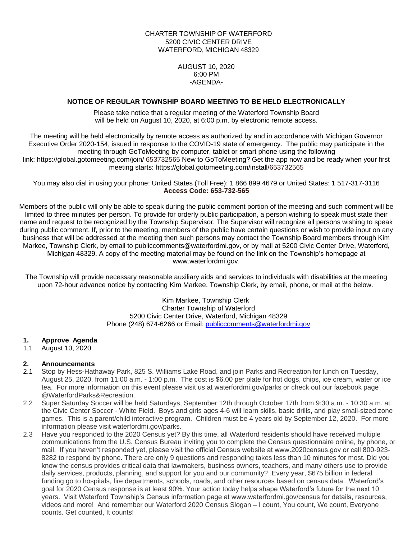# CHARTER TOWNSHIP OF WATERFORD 5200 CIVIC CENTER DRIVE WATERFORD, MICHIGAN 48329

AUGUST 10, 2020 6:00 PM -AGENDA-

## **NOTICE OF REGULAR TOWNSHIP BOARD MEETING TO BE HELD ELECTRONICALLY**

Please take notice that a regular meeting of the Waterford Township Board will be held on August 10, 2020, at 6:00 p.m. by electronic remote access.

The meeting will be held electronically by remote access as authorized by and in accordance with Michigan Governor Executive Order 2020-154, issued in response to the COVID-19 state of emergency. The public may participate in the meeting through GoToMeeting by computer, tablet or smart phone using the following link: https://global.gotomeeting.com/join/ 653732565 New to GoToMeeting? Get the app now and be ready when your first meeting starts: https://global.gotomeeting.com/install/653732565

You may also dial in using your phone: United States (Toll Free): 1 866 899 4679 or United States: 1 517-317-3116 **Access Code: 653-732-565**

Members of the public will only be able to speak during the public comment portion of the meeting and such comment will be limited to three minutes per person. To provide for orderly public participation, a person wishing to speak must state their name and request to be recognized by the Township Supervisor. The Supervisor will recognize all persons wishing to speak during public comment. If, prior to the meeting, members of the public have certain questions or wish to provide input on any business that will be addressed at the meeting then such persons may contact the Township Board members through Kim Markee, Township Clerk, by email to publiccomments@waterfordmi.gov, or by mail at 5200 Civic Center Drive, Waterford, Michigan 48329. A copy of the meeting material may be found on the link on the Township's homepage at www.waterfordmi.gov.

The Township will provide necessary reasonable auxiliary aids and services to individuals with disabilities at the meeting upon 72-hour advance notice by contacting Kim Markee, Township Clerk, by email, phone, or mail at the below.

> Kim Markee, Township Clerk Charter Township of Waterford 5200 Civic Center Drive, Waterford, Michigan 48329 Phone (248) 674-6266 or Email: [publiccomments@waterfordmi.gov](mailto:publiccomments@waterfordmi.gov)

# **1. Approve Agenda**

1.1 August 10, 2020

# **2. Announcements**

- 2.1 Stop by Hess-Hathaway Park, 825 S. Williams Lake Road, and join Parks and Recreation for lunch on Tuesday, August 25, 2020, from 11:00 a.m. - 1:00 p.m. The cost is \$6.00 per plate for hot dogs, chips, ice cream, water or ice tea. For more information on this event please visit us at waterfordmi.gov/parks or check out our facebook page @WaterfordParks&Recreation.
- 2.2 Super Saturday Soccer will be held Saturdays, September 12th through October 17th from 9:30 a.m. 10:30 a.m. at the Civic Center Soccer - White Field. Boys and girls ages 4-6 will learn skills, basic drills, and play small-sized zone games. This is a parent/child interactive program. Children must be 4 years old by September 12, 2020. For more information please visit waterfordmi.gov/parks.
- 2.3 Have you responded to the 2020 Census yet? By this time, all Waterford residents should have received multiple communications from the U.S. Census Bureau inviting you to complete the Census questionnaire online, by phone, or mail. If you haven't responded yet, please visit the official Census website at www.2020census.gov or call 800-923- 8282 to respond by phone. There are only 9 questions and responding takes less than 10 minutes for most. Did you know the census provides critical data that lawmakers, business owners, teachers, and many others use to provide daily services, products, planning, and support for you and our community? Every year, \$675 billion in federal funding go to hospitals, fire departments, schools, roads, and other resources based on census data. Waterford's goal for 2020 Census response is at least 90%. Your action today helps shape Waterford's future for the next 10 years. Visit Waterford Township's Census information page at www.waterfordmi.gov/census for details, resources, videos and more! And remember our Waterford 2020 Census Slogan – I count, You count, We count, Everyone counts. Get counted, It counts!